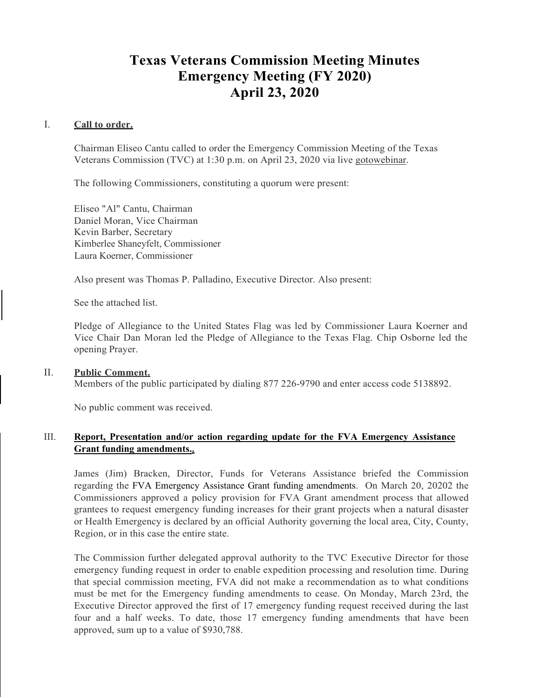# **Texas Veterans Commission Meeting Minutes Emergency Meeting (FY 2020) April 23, 2020**

### I. **Call to order.**

Chairman Eliseo Cantu called to order the Emergency Commission Meeting of the Texas Veterans Commission (TVC) at 1:30 p.m. on April 23, 2020 via live gotowebinar.

The following Commissioners, constituting a quorum were present:

Eliseo "Al" Cantu, Chairman Daniel Moran, Vice Chairman Kevin Barber, Secretary Kimberlee Shaneyfelt, Commissioner Laura Koerner, Commissioner

Also present was Thomas P. Palladino, Executive Director. Also present:

See the attached list.

Pledge of Allegiance to the United States Flag was led by Commissioner Laura Koerner and Vice Chair Dan Moran led the Pledge of Allegiance to the Texas Flag. Chip Osborne led the opening Prayer.

#### II. **Public Comment.** Members of the public participated by dialing 877 226-9790 and enter access code 5138892.

No public comment was received.

## III. **Report, Presentation and/or action regarding update for the FVA Emergency Assistance Grant funding amendments..**

James (Jim) Bracken, Director, Funds for Veterans Assistance briefed the Commission regarding the FVA Emergency Assistance Grant funding amendments. On March 20, 20202 the Commissioners approved a policy provision for FVA Grant amendment process that allowed grantees to request emergency funding increases for their grant projects when a natural disaster or Health Emergency is declared by an official Authority governing the local area, City, County, Region, or in this case the entire state.

The Commission further delegated approval authority to the TVC Executive Director for those emergency funding request in order to enable expedition processing and resolution time. During that special commission meeting, FVA did not make a recommendation as to what conditions must be met for the Emergency funding amendments to cease. On Monday, March 23rd, the Executive Director approved the first of 17 emergency funding request received during the last four and a half weeks. To date, those 17 emergency funding amendments that have been approved, sum up to a value of \$930,788.